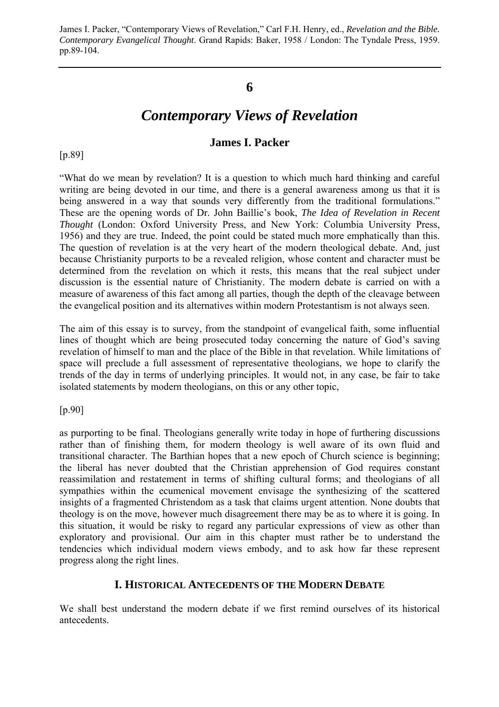## **6**

# *Contemporary Views of Revelation*

## **James I. Packer**

#### [p.89]

"What do we mean by revelation? It is a question to which much hard thinking and careful writing are being devoted in our time, and there is a general awareness among us that it is being answered in a way that sounds very differently from the traditional formulations." These are the opening words of Dr. John Baillie's book, *The Idea of Revelation in Recent Thought* (London: Oxford University Press, and New York: Columbia University Press, 1956) and they are true. Indeed, the point could be stated much more emphatically than this. The question of revelation is at the very heart of the modern theological debate. And, just because Christianity purports to be a revealed religion, whose content and character must be determined from the revelation on which it rests, this means that the real subject under discussion is the essential nature of Christianity. The modern debate is carried on with a measure of awareness of this fact among all parties, though the depth of the cleavage between the evangelical position and its alternatives within modern Protestantism is not always seen.

The aim of this essay is to survey, from the standpoint of evangelical faith, some influential lines of thought which are being prosecuted today concerning the nature of God's saving revelation of himself to man and the place of the Bible in that revelation. While limitations of space will preclude a full assessment of representative theologians, we hope to clarify the trends of the day in terms of underlying principles. It would not, in any case, be fair to take isolated statements by modern theologians, on this or any other topic,

[p.90]

as purporting to be final. Theologians generally write today in hope of furthering discussions rather than of finishing them, for modern theology is well aware of its own fluid and transitional character. The Barthian hopes that a new epoch of Church science is beginning; the liberal has never doubted that the Christian apprehension of God requires constant reassimilation and restatement in terms of shifting cultural forms; and theologians of all sympathies within the ecumenical movement envisage the synthesizing of the scattered insights of a fragmented Christendom as a task that claims urgent attention. None doubts that theology is on the move, however much disagreement there may be as to where it is going. In this situation, it would be risky to regard any particular expressions of view as other than exploratory and provisional. Our aim in this chapter must rather be to understand the tendencies which individual modern views embody, and to ask how far these represent progress along the right lines.

## **I. HISTORICAL ANTECEDENTS OF THE MODERN DEBATE**

We shall best understand the modern debate if we first remind ourselves of its historical antecedents.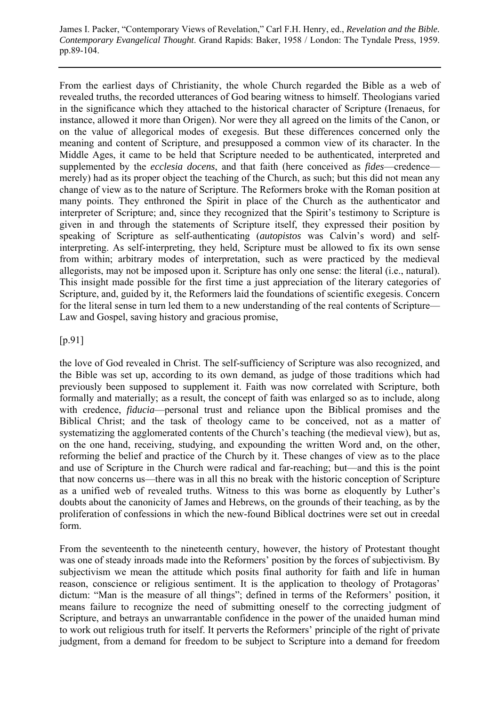From the earliest days of Christianity, the whole Church regarded the Bible as a web of revealed truths, the recorded utterances of God bearing witness to himself. Theologians varied in the significance which they attached to the historical character of Scripture (Irenaeus, for instance, allowed it more than Origen). Nor were they all agreed on the limits of the Canon, or on the value of allegorical modes of exegesis. But these differences concerned only the meaning and content of Scripture, and presupposed a common view of its character. In the Middle Ages, it came to be held that Scripture needed to be authenticated, interpreted and supplemented by the *ecclesia docens*, and that faith (here conceived as *fides*—credence merely) had as its proper object the teaching of the Church, as such; but this did not mean any change of view as to the nature of Scripture. The Reformers broke with the Roman position at many points. They enthroned the Spirit in place of the Church as the authenticator and interpreter of Scripture; and, since they recognized that the Spirit's testimony to Scripture is given in and through the statements of Scripture itself, they expressed their position by speaking of Scripture as self-authenticating (*autopistos* was Calvin's word) and selfinterpreting. As self-interpreting, they held, Scripture must be allowed to fix its own sense from within; arbitrary modes of interpretation, such as were practiced by the medieval allegorists, may not be imposed upon it. Scripture has only one sense: the literal (i.e., natural). This insight made possible for the first time a just appreciation of the literary categories of Scripture, and, guided by it, the Reformers laid the foundations of scientific exegesis. Concern for the literal sense in turn led them to a new understanding of the real contents of Scripture— Law and Gospel, saving history and gracious promise,

#### [p.91]

the love of God revealed in Christ. The self-sufficiency of Scripture was also recognized, and the Bible was set up, according to its own demand, as judge of those traditions which had previously been supposed to supplement it. Faith was now correlated with Scripture, both formally and materially; as a result, the concept of faith was enlarged so as to include, along with credence, *fiducia*—personal trust and reliance upon the Biblical promises and the Biblical Christ; and the task of theology came to be conceived, not as a matter of systematizing the agglomerated contents of the Church's teaching (the medieval view), but as, on the one hand, receiving, studying, and expounding the written Word and, on the other, reforming the belief and practice of the Church by it. These changes of view as to the place and use of Scripture in the Church were radical and far-reaching; but—and this is the point that now concerns us—there was in all this no break with the historic conception of Scripture as a unified web of revealed truths. Witness to this was borne as eloquently by Luther's doubts about the canonicity of James and Hebrews, on the grounds of their teaching, as by the proliferation of confessions in which the new-found Biblical doctrines were set out in creedal form.

From the seventeenth to the nineteenth century, however, the history of Protestant thought was one of steady inroads made into the Reformers' position by the forces of subjectivism. By subjectivism we mean the attitude which posits final authority for faith and life in human reason, conscience or religious sentiment. It is the application to theology of Protagoras' dictum: "Man is the measure of all things"; defined in terms of the Reformers' position, it means failure to recognize the need of submitting oneself to the correcting judgment of Scripture, and betrays an unwarrantable confidence in the power of the unaided human mind to work out religious truth for itself. It perverts the Reformers' principle of the right of private judgment, from a demand for freedom to be subject to Scripture into a demand for freedom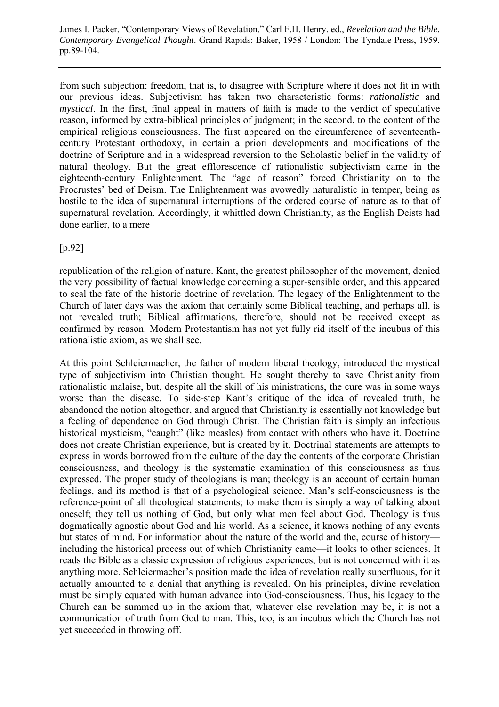from such subjection: freedom, that is, to disagree with Scripture where it does not fit in with our previous ideas. Subjectivism has taken two characteristic forms: *rationalistic* and *mystical*. In the first, final appeal in matters of faith is made to the verdict of speculative reason, informed by extra-biblical principles of judgment; in the second, to the content of the empirical religious consciousness. The first appeared on the circumference of seventeenthcentury Protestant orthodoxy, in certain a priori developments and modifications of the doctrine of Scripture and in a widespread reversion to the Scholastic belief in the validity of natural theology. But the great efflorescence of rationalistic subjectivism came in the eighteenth-century Enlightenment. The "age of reason" forced Christianity on to the Procrustes' bed of Deism. The Enlightenment was avowedly naturalistic in temper, being as hostile to the idea of supernatural interruptions of the ordered course of nature as to that of supernatural revelation. Accordingly, it whittled down Christianity, as the English Deists had done earlier, to a mere

[p.92]

republication of the religion of nature. Kant, the greatest philosopher of the movement, denied the very possibility of factual knowledge concerning a super-sensible order, and this appeared to seal the fate of the historic doctrine of revelation. The legacy of the Enlightenment to the Church of later days was the axiom that certainly some Biblical teaching, and perhaps all, is not revealed truth; Biblical affirmations, therefore, should not be received except as confirmed by reason. Modern Protestantism has not yet fully rid itself of the incubus of this rationalistic axiom, as we shall see.

At this point Schleiermacher, the father of modern liberal theology, introduced the mystical type of subjectivism into Christian thought. He sought thereby to save Christianity from rationalistic malaise, but, despite all the skill of his ministrations, the cure was in some ways worse than the disease. To side-step Kant's critique of the idea of revealed truth, he abandoned the notion altogether, and argued that Christianity is essentially not knowledge but a feeling of dependence on God through Christ. The Christian faith is simply an infectious historical mysticism, "caught" (like measles) from contact with others who have it. Doctrine does not create Christian experience, but is created by it. Doctrinal statements are attempts to express in words borrowed from the culture of the day the contents of the corporate Christian consciousness, and theology is the systematic examination of this consciousness as thus expressed. The proper study of theologians is man; theology is an account of certain human feelings, and its method is that of a psychological science. Man's self-consciousness is the reference-point of all theological statements; to make them is simply a way of talking about oneself; they tell us nothing of God, but only what men feel about God. Theology is thus dogmatically agnostic about God and his world. As a science, it knows nothing of any events but states of mind. For information about the nature of the world and the, course of history including the historical process out of which Christianity came—it looks to other sciences. It reads the Bible as a classic expression of religious experiences, but is not concerned with it as anything more. Schleiermacher's position made the idea of revelation really superfluous, for it actually amounted to a denial that anything is revealed. On his principles, divine revelation must be simply equated with human advance into God-consciousness. Thus, his legacy to the Church can be summed up in the axiom that, whatever else revelation may be, it is not a communication of truth from God to man. This, too, is an incubus which the Church has not yet succeeded in throwing off.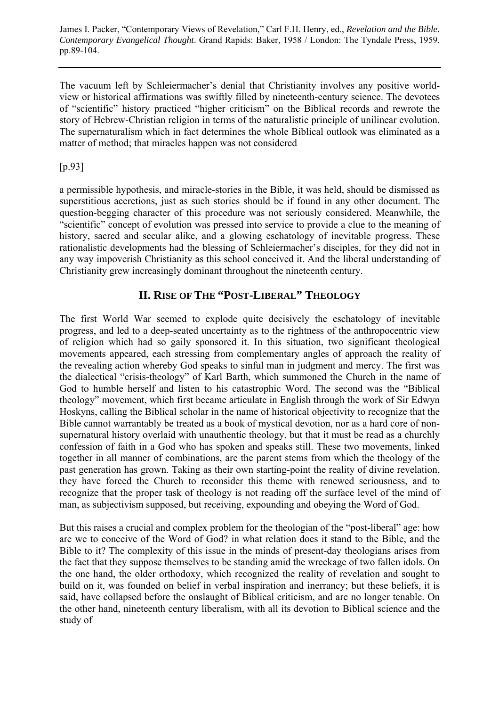The vacuum left by Schleiermacher's denial that Christianity involves any positive worldview or historical affirmations was swiftly filled by nineteenth-century science. The devotees of "scientific" history practiced "higher criticism" on the Biblical records and rewrote the story of Hebrew-Christian religion in terms of the naturalistic principle of unilinear evolution. The supernaturalism which in fact determines the whole Biblical outlook was eliminated as a matter of method; that miracles happen was not considered

[p.93]

a permissible hypothesis, and miracle-stories in the Bible, it was held, should be dismissed as superstitious accretions, just as such stories should be if found in any other document. The question-begging character of this procedure was not seriously considered. Meanwhile, the "scientific" concept of evolution was pressed into service to provide a clue to the meaning of history, sacred and secular alike, and a glowing eschatology of inevitable progress. These rationalistic developments had the blessing of Schleiermacher's disciples, for they did not in any way impoverish Christianity as this school conceived it. And the liberal understanding of Christianity grew increasingly dominant throughout the nineteenth century.

## **II. RISE OF THE "POST-LIBERAL" THEOLOGY**

The first World War seemed to explode quite decisively the eschatology of inevitable progress, and led to a deep-seated uncertainty as to the rightness of the anthropocentric view of religion which had so gaily sponsored it. In this situation, two significant theological movements appeared, each stressing from complementary angles of approach the reality of the revealing action whereby God speaks to sinful man in judgment and mercy. The first was the dialectical "crisis-theology" of Karl Barth, which summoned the Church in the name of God to humble herself and listen to his catastrophic Word. The second was the "Biblical theology" movement, which first became articulate in English through the work of Sir Edwyn Hoskyns, calling the Biblical scholar in the name of historical objectivity to recognize that the Bible cannot warrantably be treated as a book of mystical devotion, nor as a hard core of nonsupernatural history overlaid with unauthentic theology, but that it must be read as a churchly confession of faith in a God who has spoken and speaks still. These two movements, linked together in all manner of combinations, are the parent stems from which the theology of the past generation has grown. Taking as their own starting-point the reality of divine revelation, they have forced the Church to reconsider this theme with renewed seriousness, and to recognize that the proper task of theology is not reading off the surface level of the mind of man, as subjectivism supposed, but receiving, expounding and obeying the Word of God.

But this raises a crucial and complex problem for the theologian of the "post-liberal" age: how are we to conceive of the Word of God? in what relation does it stand to the Bible, and the Bible to it? The complexity of this issue in the minds of present-day theologians arises from the fact that they suppose themselves to be standing amid the wreckage of two fallen idols. On the one hand, the older orthodoxy, which recognized the reality of revelation and sought to build on it, was founded on belief in verbal inspiration and inerrancy; but these beliefs, it is said, have collapsed before the onslaught of Biblical criticism, and are no longer tenable. On the other hand, nineteenth century liberalism, with all its devotion to Biblical science and the study of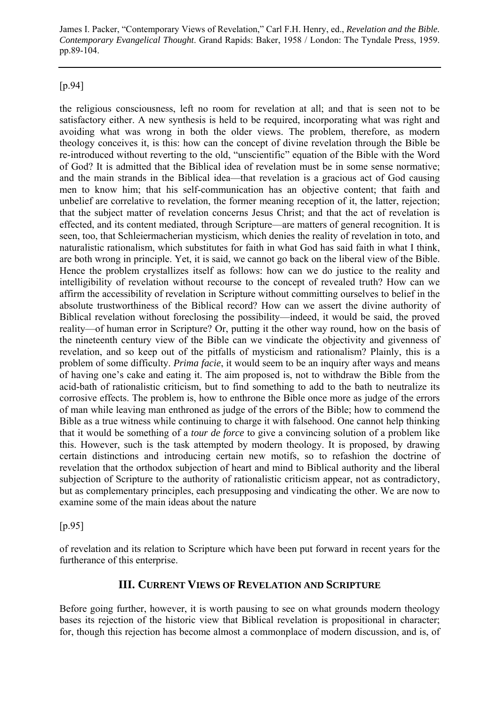#### [p.94]

the religious consciousness, left no room for revelation at all; and that is seen not to be satisfactory either. A new synthesis is held to be required, incorporating what was right and avoiding what was wrong in both the older views. The problem, therefore, as modern theology conceives it, is this: how can the concept of divine revelation through the Bible be re-introduced without reverting to the old, "unscientific" equation of the Bible with the Word of God? It is admitted that the Biblical idea of revelation must be in some sense normative; and the main strands in the Biblical idea—that revelation is a gracious act of God causing men to know him; that his self-communication has an objective content; that faith and unbelief are correlative to revelation, the former meaning reception of it, the latter, rejection; that the subject matter of revelation concerns Jesus Christ; and that the act of revelation is effected, and its content mediated, through Scripture—are matters of general recognition. It is seen, too, that Schleiermacherian mysticism, which denies the reality of revelation in toto, and naturalistic rationalism, which substitutes for faith in what God has said faith in what I think, are both wrong in principle. Yet, it is said, we cannot go back on the liberal view of the Bible. Hence the problem crystallizes itself as follows: how can we do justice to the reality and intelligibility of revelation without recourse to the concept of revealed truth? How can we affirm the accessibility of revelation in Scripture without committing ourselves to belief in the absolute trustworthiness of the Biblical record? How can we assert the divine authority of Biblical revelation without foreclosing the possibility—indeed, it would be said, the proved reality—of human error in Scripture? Or, putting it the other way round, how on the basis of the nineteenth century view of the Bible can we vindicate the objectivity and givenness of revelation, and so keep out of the pitfalls of mysticism and rationalism? Plainly, this is a problem of some difficulty. *Prima facie*, it would seem to be an inquiry after ways and means of having one's cake and eating it. The aim proposed is, not to withdraw the Bible from the acid-bath of rationalistic criticism, but to find something to add to the bath to neutralize its corrosive effects. The problem is, how to enthrone the Bible once more as judge of the errors of man while leaving man enthroned as judge of the errors of the Bible; how to commend the Bible as a true witness while continuing to charge it with falsehood. One cannot help thinking that it would be something of a *tour de force* to give a convincing solution of a problem like this. However, such is the task attempted by modern theology. It is proposed, by drawing certain distinctions and introducing certain new motifs, so to refashion the doctrine of revelation that the orthodox subjection of heart and mind to Biblical authority and the liberal subjection of Scripture to the authority of rationalistic criticism appear, not as contradictory, but as complementary principles, each presupposing and vindicating the other. We are now to examine some of the main ideas about the nature

[p.95]

of revelation and its relation to Scripture which have been put forward in recent years for the furtherance of this enterprise.

## **III. CURRENT VIEWS OF REVELATION AND SCRIPTURE**

Before going further, however, it is worth pausing to see on what grounds modern theology bases its rejection of the historic view that Biblical revelation is propositional in character; for, though this rejection has become almost a commonplace of modern discussion, and is, of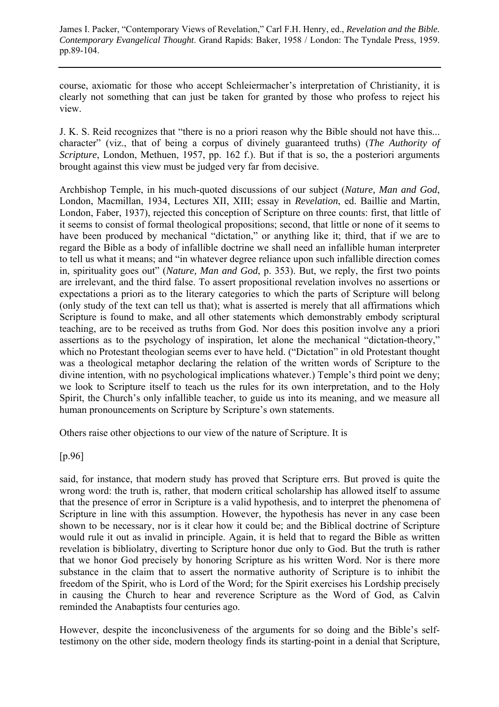course, axiomatic for those who accept Schleiermacher's interpretation of Christianity, it is clearly not something that can just be taken for granted by those who profess to reject his view.

J. K. S. Reid recognizes that "there is no a priori reason why the Bible should not have this... character" (viz., that of being a corpus of divinely guaranteed truths) (*The Authority of Scripture*, London, Methuen, 1957, pp. 162 f.). But if that is so, the a posteriori arguments brought against this view must be judged very far from decisive.

Archbishop Temple, in his much-quoted discussions of our subject (*Nature, Man and God*, London, Macmillan, 1934, Lectures XII, XIII; essay in *Revelation*, ed. Baillie and Martin, London, Faber, 1937), rejected this conception of Scripture on three counts: first, that little of it seems to consist of formal theological propositions; second, that little or none of it seems to have been produced by mechanical "dictation," or anything like it; third, that if we are to regard the Bible as a body of infallible doctrine we shall need an infallible human interpreter to tell us what it means; and "in whatever degree reliance upon such infallible direction comes in, spirituality goes out" (*Nature, Man and God*, p. 353). But, we reply, the first two points are irrelevant, and the third false. To assert propositional revelation involves no assertions or expectations a priori as to the literary categories to which the parts of Scripture will belong (only study of the text can tell us that); what is asserted is merely that all affirmations which Scripture is found to make, and all other statements which demonstrably embody scriptural teaching, are to be received as truths from God. Nor does this position involve any a priori assertions as to the psychology of inspiration, let alone the mechanical "dictation-theory," which no Protestant theologian seems ever to have held. ("Dictation" in old Protestant thought was a theological metaphor declaring the relation of the written words of Scripture to the divine intention, with no psychological implications whatever.) Temple's third point we deny; we look to Scripture itself to teach us the rules for its own interpretation, and to the Holy Spirit, the Church's only infallible teacher, to guide us into its meaning, and we measure all human pronouncements on Scripture by Scripture's own statements.

Others raise other objections to our view of the nature of Scripture. It is

[p.96]

said, for instance, that modern study has proved that Scripture errs. But proved is quite the wrong word: the truth is, rather, that modern critical scholarship has allowed itself to assume that the presence of error in Scripture is a valid hypothesis, and to interpret the phenomena of Scripture in line with this assumption. However, the hypothesis has never in any case been shown to be necessary, nor is it clear how it could be; and the Biblical doctrine of Scripture would rule it out as invalid in principle. Again, it is held that to regard the Bible as written revelation is bibliolatry, diverting to Scripture honor due only to God. But the truth is rather that we honor God precisely by honoring Scripture as his written Word. Nor is there more substance in the claim that to assert the normative authority of Scripture is to inhibit the freedom of the Spirit, who is Lord of the Word; for the Spirit exercises his Lordship precisely in causing the Church to hear and reverence Scripture as the Word of God, as Calvin reminded the Anabaptists four centuries ago.

However, despite the inconclusiveness of the arguments for so doing and the Bible's selftestimony on the other side, modern theology finds its starting-point in a denial that Scripture,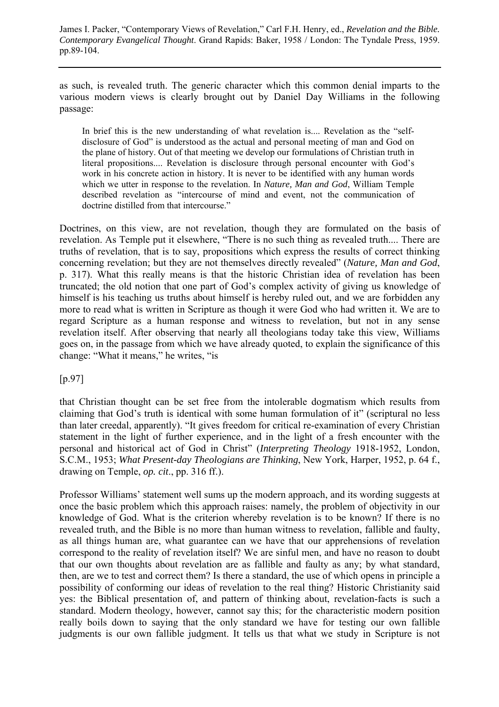as such, is revealed truth. The generic character which this common denial imparts to the various modern views is clearly brought out by Daniel Day Williams in the following passage:

In brief this is the new understanding of what revelation is.... Revelation as the "selfdisclosure of God" is understood as the actual and personal meeting of man and God on the plane of history. Out of that meeting we develop our formulations of Christian truth in literal propositions.... Revelation is disclosure through personal encounter with God's work in his concrete action in history. It is never to be identified with any human words which we utter in response to the revelation. In *Nature, Man and God*, William Temple described revelation as "intercourse of mind and event, not the communication of doctrine distilled from that intercourse."

Doctrines, on this view, are not revelation, though they are formulated on the basis of revelation. As Temple put it elsewhere, "There is no such thing as revealed truth.... There are truths of revelation, that is to say, propositions which express the results of correct thinking concerning revelation; but they are not themselves directly revealed" (*Nature, Man and God*, p. 317). What this really means is that the historic Christian idea of revelation has been truncated; the old notion that one part of God's complex activity of giving us knowledge of himself is his teaching us truths about himself is hereby ruled out, and we are forbidden any more to read what is written in Scripture as though it were God who had written it. We are to regard Scripture as a human response and witness to revelation, but not in any sense revelation itself. After observing that nearly all theologians today take this view, Williams goes on, in the passage from which we have already quoted, to explain the significance of this change: "What it means," he writes, "is

[p.97]

that Christian thought can be set free from the intolerable dogmatism which results from claiming that God's truth is identical with some human formulation of it" (scriptural no less than later creedal, apparently). "It gives freedom for critical re-examination of every Christian statement in the light of further experience, and in the light of a fresh encounter with the personal and historical act of God in Christ" (*Interpreting Theology* 1918-1952, London, S.C.M., 1953; *What Present-day Theologians are Thinking*, New York, Harper, 1952, p. 64 f., drawing on Temple, *op. cit*., pp. 316 ff.).

Professor Williams' statement well sums up the modern approach, and its wording suggests at once the basic problem which this approach raises: namely, the problem of objectivity in our knowledge of God. What is the criterion whereby revelation is to be known? If there is no revealed truth, and the Bible is no more than human witness to revelation, fallible and faulty, as all things human are, what guarantee can we have that our apprehensions of revelation correspond to the reality of revelation itself? We are sinful men, and have no reason to doubt that our own thoughts about revelation are as fallible and faulty as any; by what standard, then, are we to test and correct them? Is there a standard, the use of which opens in principle a possibility of conforming our ideas of revelation to the real thing? Historic Christianity said yes: the Biblical presentation of, and pattern of thinking about, revelation-facts is such a standard. Modern theology, however, cannot say this; for the characteristic modern position really boils down to saying that the only standard we have for testing our own fallible judgments is our own fallible judgment. It tells us that what we study in Scripture is not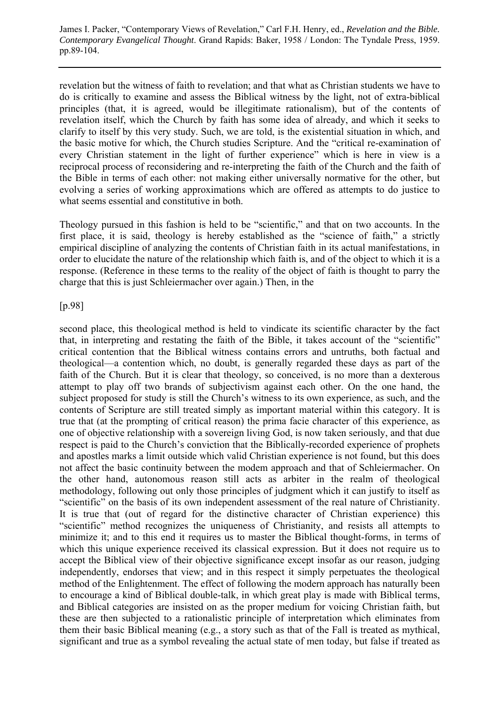revelation but the witness of faith to revelation; and that what as Christian students we have to do is critically to examine and assess the Biblical witness by the light, not of extra-biblical principles (that, it is agreed, would be illegitimate rationalism), but of the contents of revelation itself, which the Church by faith has some idea of already, and which it seeks to clarify to itself by this very study. Such, we are told, is the existential situation in which, and the basic motive for which, the Church studies Scripture. And the "critical re-examination of every Christian statement in the light of further experience" which is here in view is a reciprocal process of reconsidering and re-interpreting the faith of the Church and the faith of the Bible in terms of each other: not making either universally normative for the other, but evolving a series of working approximations which are offered as attempts to do justice to what seems essential and constitutive in both.

Theology pursued in this fashion is held to be "scientific," and that on two accounts. In the first place, it is said, theology is hereby established as the "science of faith," a strictly empirical discipline of analyzing the contents of Christian faith in its actual manifestations, in order to elucidate the nature of the relationship which faith is, and of the object to which it is a response. (Reference in these terms to the reality of the object of faith is thought to parry the charge that this is just Schleiermacher over again.) Then, in the

[p.98]

second place, this theological method is held to vindicate its scientific character by the fact that, in interpreting and restating the faith of the Bible, it takes account of the "scientific" critical contention that the Biblical witness contains errors and untruths, both factual and theological—a contention which, no doubt, is generally regarded these days as part of the faith of the Church. But it is clear that theology, so conceived, is no more than a dexterous attempt to play off two brands of subjectivism against each other. On the one hand, the subject proposed for study is still the Church's witness to its own experience, as such, and the contents of Scripture are still treated simply as important material within this category. It is true that (at the prompting of critical reason) the prima facie character of this experience, as one of objective relationship with a sovereign living God, is now taken seriously, and that due respect is paid to the Church's conviction that the Biblically-recorded experience of prophets and apostles marks a limit outside which valid Christian experience is not found, but this does not affect the basic continuity between the modem approach and that of Schleiermacher. On the other hand, autonomous reason still acts as arbiter in the realm of theological methodology, following out only those principles of judgment which it can justify to itself as "scientific" on the basis of its own independent assessment of the real nature of Christianity. It is true that (out of regard for the distinctive character of Christian experience) this "scientific" method recognizes the uniqueness of Christianity, and resists all attempts to minimize it; and to this end it requires us to master the Biblical thought-forms, in terms of which this unique experience received its classical expression. But it does not require us to accept the Biblical view of their objective significance except insofar as our reason, judging independently, endorses that view; and in this respect it simply perpetuates the theological method of the Enlightenment. The effect of following the modern approach has naturally been to encourage a kind of Biblical double-talk, in which great play is made with Biblical terms, and Biblical categories are insisted on as the proper medium for voicing Christian faith, but these are then subjected to a rationalistic principle of interpretation which eliminates from them their basic Biblical meaning (e.g., a story such as that of the Fall is treated as mythical, significant and true as a symbol revealing the actual state of men today, but false if treated as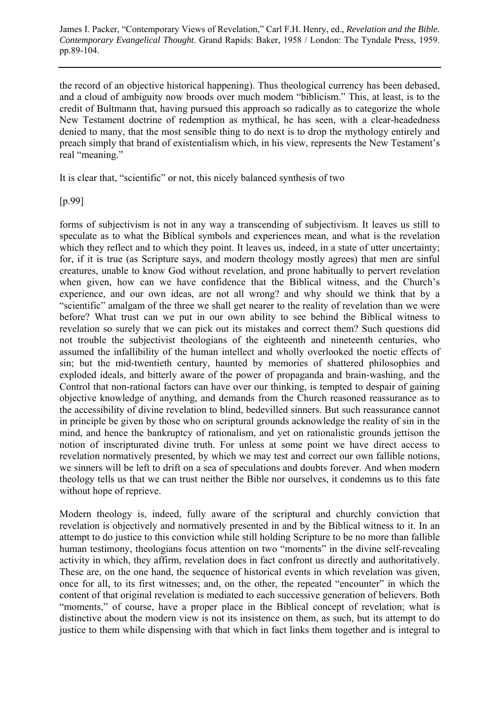the record of an objective historical happening). Thus theological currency has been debased, and a cloud of ambiguity now broods over much modem "biblicism." This, at least, is to the credit of Bultmann that, having pursued this approach so radically as to categorize the whole New Testament doctrine of redemption as mythical, he has seen, with a clear-headedness denied to many, that the most sensible thing to do next is to drop the mythology entirely and preach simply that brand of existentialism which, in his view, represents the New Testament's real "meaning."

It is clear that, "scientific" or not, this nicely balanced synthesis of two

[p.99]

forms of subjectivism is not in any way a transcending of subjectivism. It leaves us still to speculate as to what the Biblical symbols and experiences mean, and what is the revelation which they reflect and to which they point. It leaves us, indeed, in a state of utter uncertainty; for, if it is true (as Scripture says, and modern theology mostly agrees) that men are sinful creatures, unable to know God without revelation, and prone habitually to pervert revelation when given, how can we have confidence that the Biblical witness, and the Church's experience, and our own ideas, are not all wrong? and why should we think that by a "scientific" amalgam of the three we shall get nearer to the reality of revelation than we were before? What trust can we put in our own ability to see behind the Biblical witness to revelation so surely that we can pick out its mistakes and correct them? Such questions did not trouble the subjectivist theologians of the eighteenth and nineteenth centuries, who assumed the infallibility of the human intellect and wholly overlooked the noetic effects of sin; but the mid-twentieth century, haunted by memories of shattered philosophies and exploded ideals, and bitterly aware of the power of propaganda and brain-washing, and the Control that non-rational factors can have over our thinking, is tempted to despair of gaining objective knowledge of anything, and demands from the Church reasoned reassurance as to the accessibility of divine revelation to blind, bedevilled sinners. But such reassurance cannot in principle be given by those who on scriptural grounds acknowledge the reality of sin in the mind, and hence the bankruptcy of rationalism, and yet on rationalistic grounds jettison the notion of inscripturated divine truth. For unless at some point we have direct access to revelation normatively presented, by which we may test and correct our own fallible notions, we sinners will be left to drift on a sea of speculations and doubts forever. And when modern theology tells us that we can trust neither the Bible nor ourselves, it condemns us to this fate without hope of reprieve.

Modern theology is, indeed, fully aware of the scriptural and churchly conviction that revelation is objectively and normatively presented in and by the Biblical witness to it. In an attempt to do justice to this conviction while still holding Scripture to be no more than fallible human testimony, theologians focus attention on two "moments" in the divine self-revealing activity in which, they affirm, revelation does in fact confront us directly and authoritatively. These are, on the one hand, the sequence of historical events in which revelation was given, once for all, to its first witnesses; and, on the other, the repeated "encounter" in which the content of that original revelation is mediated to each successive generation of believers. Both "moments," of course, have a proper place in the Biblical concept of revelation; what is distinctive about the modern view is not its insistence on them, as such, but its attempt to do justice to them while dispensing with that which in fact links them together and is integral to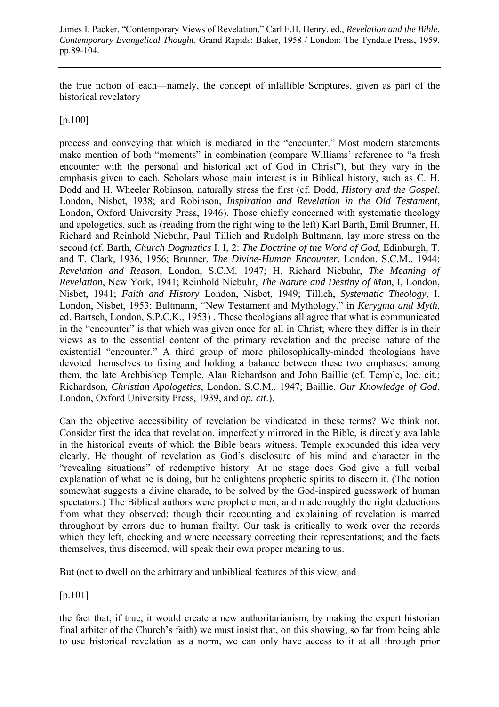the true notion of each—namely, the concept of infallible Scriptures, given as part of the historical revelatory

[p.100]

process and conveying that which is mediated in the "encounter." Most modern statements make mention of both "moments" in combination (compare Williams' reference to "a fresh encounter with the personal and historical act of God in Christ"), but they vary in the emphasis given to each. Scholars whose main interest is in Biblical history, such as C. H. Dodd and H. Wheeler Robinson, naturally stress the first (cf. Dodd, *History and the Gospel*, London, Nisbet, 1938; and Robinson, *Inspiration and Revelation in the Old Testament*, London, Oxford University Press, 1946). Those chiefly concerned with systematic theology and apologetics, such as (reading from the right wing to the left) Karl Barth, Emil Brunner, H. Richard and Reinhold Niebuhr, Paul Tillich and Rudolph Bultmann, lay more stress on the second (cf. Barth, *Church Dogmatics* I. I, 2: *The Doctrine of the Word of God*, Edinburgh, T. and T. Clark, 1936, 1956; Brunner, *The Divine-Human Encounter*, London, S.C.M., 1944; *Revelation and Reason*, London, S.C.M. 1947; H. Richard Niebuhr, *The Meaning of Revelation*, New York, 1941; Reinhold Niebuhr, *The Nature and Destiny of Man*, I, London, Nisbet, 1941; *Faith and History* London, Nisbet, 1949; Tillich, *Systematic Theology*, I, London, Nisbet, 1953; Bultmann, "New Testament and Mythology," in *Kerygma and Myth*, ed. Bartsch, London, S.P.C.K., 1953) . These theologians all agree that what is communicated in the "encounter" is that which was given once for all in Christ; where they differ is in their views as to the essential content of the primary revelation and the precise nature of the existential "encounter." A third group of more philosophically-minded theologians have devoted themselves to fixing and holding a balance between these two emphases: among them, the late Archbishop Temple, Alan Richardson and John Baillie (cf. Temple, loc. cit.; Richardson, *Christian Apologetics*, London, S.C.M., 1947; Baillie, *Our Knowledge of God*, London, Oxford University Press, 1939, and *op. cit*.).

Can the objective accessibility of revelation be vindicated in these terms? We think not. Consider first the idea that revelation, imperfectly mirrored in the Bible, is directly available in the historical events of which the Bible bears witness. Temple expounded this idea very clearly. He thought of revelation as God's disclosure of his mind and character in the "revealing situations" of redemptive history. At no stage does God give a full verbal explanation of what he is doing, but he enlightens prophetic spirits to discern it. (The notion somewhat suggests a divine charade, to be solved by the God-inspired guesswork of human spectators.) The Biblical authors were prophetic men, and made roughly the right deductions from what they observed; though their recounting and explaining of revelation is marred throughout by errors due to human frailty. Our task is critically to work over the records which they left, checking and where necessary correcting their representations; and the facts themselves, thus discerned, will speak their own proper meaning to us.

But (not to dwell on the arbitrary and unbiblical features of this view, and

[p.101]

the fact that, if true, it would create a new authoritarianism, by making the expert historian final arbiter of the Church's faith) we must insist that, on this showing, so far from being able to use historical revelation as a norm, we can only have access to it at all through prior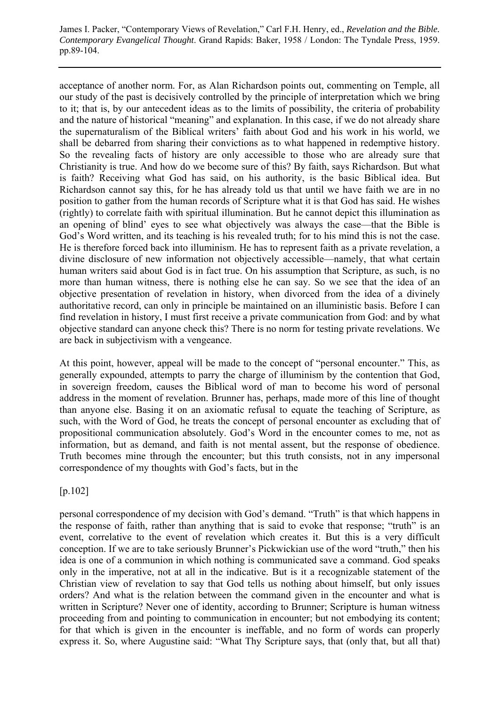acceptance of another norm. For, as Alan Richardson points out, commenting on Temple, all our study of the past is decisively controlled by the principle of interpretation which we bring to it; that is, by our antecedent ideas as to the limits of possibility, the criteria of probability and the nature of historical "meaning" and explanation. In this case, if we do not already share the supernaturalism of the Biblical writers' faith about God and his work in his world, we shall be debarred from sharing their convictions as to what happened in redemptive history. So the revealing facts of history are only accessible to those who are already sure that Christianity is true. And how do we become sure of this? By faith, says Richardson. But what is faith? Receiving what God has said, on his authority, is the basic Biblical idea. But Richardson cannot say this, for he has already told us that until we have faith we are in no position to gather from the human records of Scripture what it is that God has said. He wishes (rightly) to correlate faith with spiritual illumination. But he cannot depict this illumination as an opening of blind' eyes to see what objectively was always the case—that the Bible is God's Word written, and its teaching is his revealed truth; for to his mind this is not the case. He is therefore forced back into illuminism. He has to represent faith as a private revelation, a divine disclosure of new information not objectively accessible—namely, that what certain human writers said about God is in fact true. On his assumption that Scripture, as such, is no more than human witness, there is nothing else he can say. So we see that the idea of an objective presentation of revelation in history, when divorced from the idea of a divinely authoritative record, can only in principle be maintained on an illuministic basis. Before I can find revelation in history, I must first receive a private communication from God: and by what objective standard can anyone check this? There is no norm for testing private revelations. We are back in subjectivism with a vengeance.

At this point, however, appeal will be made to the concept of "personal encounter." This, as generally expounded, attempts to parry the charge of illuminism by the contention that God, in sovereign freedom, causes the Biblical word of man to become his word of personal address in the moment of revelation. Brunner has, perhaps, made more of this line of thought than anyone else. Basing it on an axiomatic refusal to equate the teaching of Scripture, as such, with the Word of God, he treats the concept of personal encounter as excluding that of propositional communication absolutely. God's Word in the encounter comes to me, not as information, but as demand, and faith is not mental assent, but the response of obedience. Truth becomes mine through the encounter; but this truth consists, not in any impersonal correspondence of my thoughts with God's facts, but in the

[p.102]

personal correspondence of my decision with God's demand. "Truth" is that which happens in the response of faith, rather than anything that is said to evoke that response; "truth" is an event, correlative to the event of revelation which creates it. But this is a very difficult conception. If we are to take seriously Brunner's Pickwickian use of the word "truth," then his idea is one of a communion in which nothing is communicated save a command. God speaks only in the imperative, not at all in the indicative. But is it a recognizable statement of the Christian view of revelation to say that God tells us nothing about himself, but only issues orders? And what is the relation between the command given in the encounter and what is written in Scripture? Never one of identity, according to Brunner; Scripture is human witness proceeding from and pointing to communication in encounter; but not embodying its content; for that which is given in the encounter is ineffable, and no form of words can properly express it. So, where Augustine said: "What Thy Scripture says, that (only that, but all that)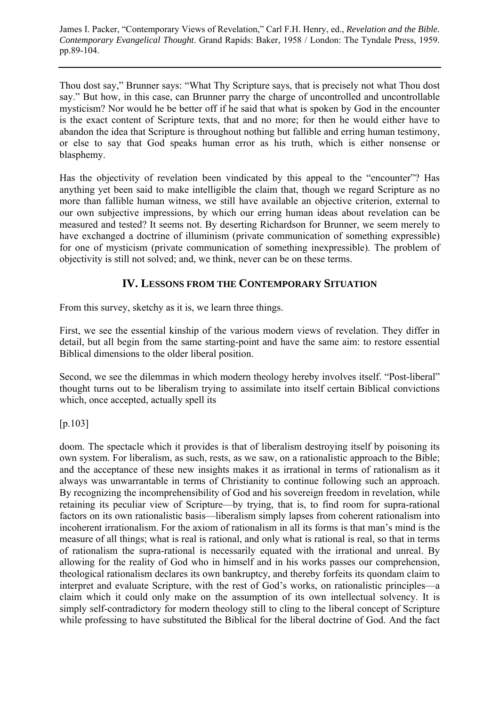Thou dost say," Brunner says: "What Thy Scripture says, that is precisely not what Thou dost say." But how, in this case, can Brunner parry the charge of uncontrolled and uncontrollable mysticism? Nor would he be better off if he said that what is spoken by God in the encounter is the exact content of Scripture texts, that and no more; for then he would either have to abandon the idea that Scripture is throughout nothing but fallible and erring human testimony, or else to say that God speaks human error as his truth, which is either nonsense or blasphemy.

Has the objectivity of revelation been vindicated by this appeal to the "encounter"? Has anything yet been said to make intelligible the claim that, though we regard Scripture as no more than fallible human witness, we still have available an objective criterion, external to our own subjective impressions, by which our erring human ideas about revelation can be measured and tested? It seems not. By deserting Richardson for Brunner, we seem merely to have exchanged a doctrine of illuminism (private communication of something expressible) for one of mysticism (private communication of something inexpressible). The problem of objectivity is still not solved; and, we think, never can be on these terms.

## **IV. LESSONS FROM THE CONTEMPORARY SITUATION**

From this survey, sketchy as it is, we learn three things.

First, we see the essential kinship of the various modern views of revelation. They differ in detail, but all begin from the same starting-point and have the same aim: to restore essential Biblical dimensions to the older liberal position.

Second, we see the dilemmas in which modern theology hereby involves itself. "Post-liberal" thought turns out to be liberalism trying to assimilate into itself certain Biblical convictions which, once accepted, actually spell its

[p.103]

doom. The spectacle which it provides is that of liberalism destroying itself by poisoning its own system. For liberalism, as such, rests, as we saw, on a rationalistic approach to the Bible; and the acceptance of these new insights makes it as irrational in terms of rationalism as it always was unwarrantable in terms of Christianity to continue following such an approach. By recognizing the incomprehensibility of God and his sovereign freedom in revelation, while retaining its peculiar view of Scripture—by trying, that is, to find room for supra-rational factors on its own rationalistic basis—liberalism simply lapses from coherent rationalism into incoherent irrationalism. For the axiom of rationalism in all its forms is that man's mind is the measure of all things; what is real is rational, and only what is rational is real, so that in terms of rationalism the supra-rational is necessarily equated with the irrational and unreal. By allowing for the reality of God who in himself and in his works passes our comprehension, theological rationalism declares its own bankruptcy, and thereby forfeits its quondam claim to interpret and evaluate Scripture, with the rest of God's works, on rationalistic principles—a claim which it could only make on the assumption of its own intellectual solvency. It is simply self-contradictory for modern theology still to cling to the liberal concept of Scripture while professing to have substituted the Biblical for the liberal doctrine of God. And the fact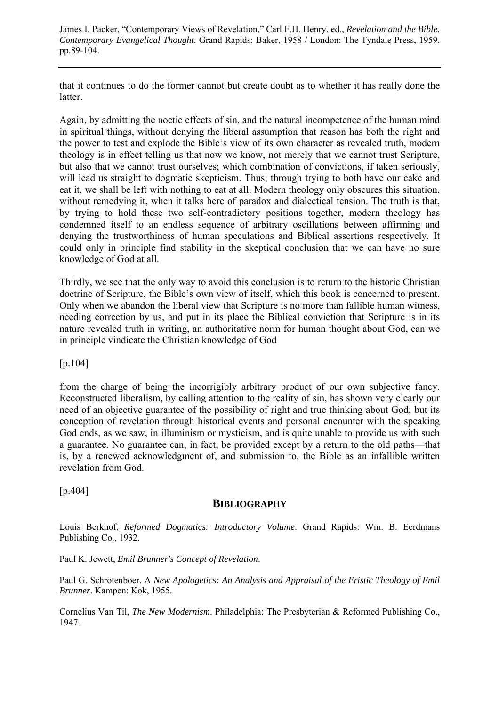that it continues to do the former cannot but create doubt as to whether it has really done the latter.

Again, by admitting the noetic effects of sin, and the natural incompetence of the human mind in spiritual things, without denying the liberal assumption that reason has both the right and the power to test and explode the Bible's view of its own character as revealed truth, modern theology is in effect telling us that now we know, not merely that we cannot trust Scripture, but also that we cannot trust ourselves; which combination of convictions, if taken seriously, will lead us straight to dogmatic skepticism. Thus, through trying to both have our cake and eat it, we shall be left with nothing to eat at all. Modern theology only obscures this situation, without remedying it, when it talks here of paradox and dialectical tension. The truth is that, by trying to hold these two self-contradictory positions together, modern theology has condemned itself to an endless sequence of arbitrary oscillations between affirming and denying the trustworthiness of human speculations and Biblical assertions respectively. It could only in principle find stability in the skeptical conclusion that we can have no sure knowledge of God at all.

Thirdly, we see that the only way to avoid this conclusion is to return to the historic Christian doctrine of Scripture, the Bible's own view of itself, which this book is concerned to present. Only when we abandon the liberal view that Scripture is no more than fallible human witness, needing correction by us, and put in its place the Biblical conviction that Scripture is in its nature revealed truth in writing, an authoritative norm for human thought about God, can we in principle vindicate the Christian knowledge of God

[p.104]

from the charge of being the incorrigibly arbitrary product of our own subjective fancy. Reconstructed liberalism, by calling attention to the reality of sin, has shown very clearly our need of an objective guarantee of the possibility of right and true thinking about God; but its conception of revelation through historical events and personal encounter with the speaking God ends, as we saw, in illuminism or mysticism, and is quite unable to provide us with such a guarantee. No guarantee can, in fact, be provided except by a return to the old paths—that is, by a renewed acknowledgment of, and submission to, the Bible as an infallible written revelation from God.

[p.404]

#### **BIBLIOGRAPHY**

Louis Berkhof, *Reformed Dogmatics: Introductory Volume*. Grand Rapids: Wm. B. Eerdmans Publishing Co., 1932.

Paul K. Jewett, *Emil Brunner's Concept of Revelation*.

Paul G. Schrotenboer, A *New Apologetics: An Analysis and Appraisal of the Eristic Theology of Emil Brunner*. Kampen: Kok, 1955.

Cornelius Van Til, *The New Modernism*. Philadelphia: The Presbyterian & Reformed Publishing Co., 1947.